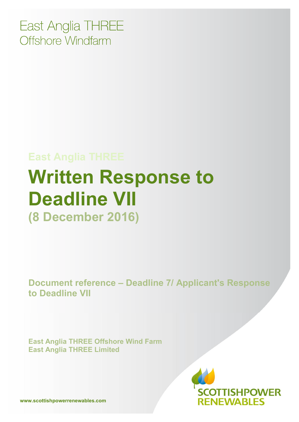East Anglia THREE Offshore Windfarm

# **East Anglia THREE Written Response to Deadline VII (8 December 2016)**

**Document reference – Deadline 7/ Applicant's Response to Deadline VII**

**East Anglia THREE Offshore Wind Farm East Anglia THREE Limited** 



**www.scottishpowerrenewables.com**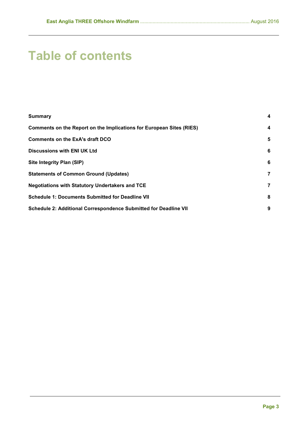## **Table of contents**

| <b>Summary</b>                                                              | 4                       |
|-----------------------------------------------------------------------------|-------------------------|
| <b>Comments on the Report on the Implications for European Sites (RIES)</b> | $\overline{\mathbf{4}}$ |
| <b>Comments on the ExA's draft DCO</b>                                      | 5                       |
| Discussions with ENI UK Ltd                                                 | 6                       |
| <b>Site Integrity Plan (SIP)</b>                                            | 6                       |
| <b>Statements of Common Ground (Updates)</b>                                | 7                       |
| <b>Negotiations with Statutory Undertakers and TCE</b>                      | 7                       |
| <b>Schedule 1: Documents Submitted for Deadline VII</b>                     | 8                       |
| Schedule 2: Additional Correspondence Submitted for Deadline VII            | 9                       |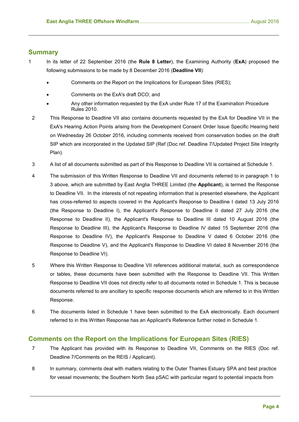## <span id="page-3-0"></span>**Summary**

- 1 In its letter of 22 September 2016 (the **Rule 8 Letter**), the Examining Authority (**ExA**) proposed the following submissions to be made by 8 December 2016 (**Deadline VII**):
	- Comments on the Report on the Implications for European Sites (RIES);
	- Comments on the ExA's draft DCO; and
	- Any other information requested by the ExA under Rule 17 of the Examination Procedure Rules 2010.
	- 2 This Response to Deadline VII also contains documents requested by the ExA for Deadline VII in the ExA's Hearing Action Points arising from the Development Consent Order Issue Specific Hearing held on Wednesday 26 October 2016, including comments received from conservation bodies on the draft SIP which are incorporated in the Updated SIP (Ref (Doc ref. Deadline 7/Updated Project Site Integrity Plan).
	- 3 A list of all documents submitted as part of this Response to Deadline VII is contained at Schedule 1.
	- 4 The submission of this Written Response to Deadline VII and documents referred to in paragraph 1 to 3 above, which are submitted by East Anglia THREE Limited (the **Applicant**), is termed the Response to Deadline VII. In the interests of not repeating information that is presented elsewhere, the Applicant has cross-referred to aspects covered in the Applicant's Response to Deadline I dated 13 July 2016 (the Response to Deadline I), the Applicant's Response to Deadline II dated 27 July 2016 (the Response to Deadline II), the Applicant's Response to Deadline III dated 10 August 2016 (the Response to Deadline III), the Applicant's Response to Deadline IV dated 15 September 2016 (the Response to Deadline IV), the Applicant's Response to Deadline V dated 6 October 2016 (the Response to Deadline V), and the Applicant's Response to Deadline VI dated 8 November 2016 (the Response to Deadline VI).
	- 5 Where this Written Response to Deadline VII references additional material, such as correspondence or tables, these documents have been submitted with the Response to Deadline VII. This Written Response to Deadline VII does not directly refer to all documents noted in Schedule 1. This is because documents referred to are ancillary to specific response documents which are referred to in this Written Response.
- 6 The documents listed in Schedule 1 have been submitted to the ExA electronically. Each document referred to in this Written Response has an Applicant's Reference further noted in Schedule 1.

## <span id="page-3-1"></span>**Comments on the Report on the Implications for European Sites (RIES)**

- 7 The Applicant has provided with its Response to Deadline VII, Comments on the RIES (Doc ref. Deadline 7/Comments on the REIS / Applicant).
- 8 In summary, comments deal with matters relating to the Outer Thames Estuary SPA and best practice for vessel movements; the Southern North Sea pSAC with particular regard to potential impacts from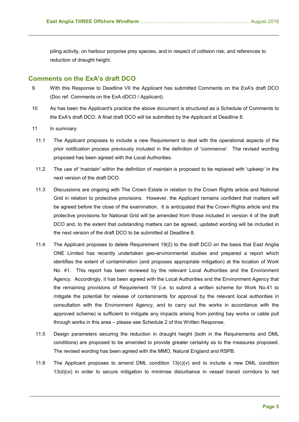piling activity, on harbour porpoise prey species, and in respect of collision risk; and references to reduction of draught height.

## <span id="page-4-0"></span>**Comments on the ExA's draft DCO**

- 9 With this Response to Deadline VII the Applicant has submitted Comments on the ExA's draft DCO (Doc ref. Comments on the ExA dDCO / Applicant).
- 10 As has been the Applicant's practice the above document is structured as a Schedule of Comments to the ExA's draft DCO. A final draft DCO will be submitted by the Applicant at Deadline 8.
- 11 In summary:
- 11.1 The Applicant proposes to include a new Requirement to deal with the operational aspects of the prior notification process previously included in the definition of '*commence'.* The revised wording proposed has been agreed with the Local Authorities.
- 11.2 The use of 'maintain' within the definition of *maintain* is proposed to be replaced with 'upkeep' in the next version of the draft DCO.
- 11.3 Discussions are ongoing with The Crown Estate in relation to the Crown Rights article and National Grid in relation to protective provisions. However, the Applicant remains confident that matters will be agreed before the close of the examination. It is anticipated that the Crown Rights article and the protective provisions for National Grid will be amended from those included in version 4 of the draft DCO and, to the extent that outstanding matters can be agreed, updated wording will be included in the next version of the draft DCO to be submitted at Deadline 8.
- 11.4 The Applicant proposes to delete Requirement 19(2) to the draft DCO on the basis that East Anglia ONE Limited has recently undertaken geo-environmental studies and prepared a report which identifies the extent of contamination (and proposes appropriate mitigation) at the location of Work No. 41. This report has been reviewed by the relevant Local Authorities and the Environment Agency. Accordingly, it has been agreed with the Local Authorities and the Environment Agency that the remaining provisions of Requirement 19 (i.e. to submit a written scheme for Work No.41 to mitigate the potential for release of contaminants for approval by the relevant local authorities in consultation with the Environment Agency, and to carry out the works in accordance with the approved scheme) is sufficient to mitigate any impacts arising from jointing bay works or cable pull through works in this area – please see Schedule 2 of this Written Response.
- 11.5 Design parameters securing the reduction in draught height (both in the Requirements and DML conditions) are proposed to be amended to provide greater certainty as to the measures proposed. The revised wording has been agreed with the MMO, Natural England and RSPB.
- 11.6 The Applicant proposes to amend DML condition 13(c)(v) and to include a new DML condition 13(d)(vi) in order to secure mitigation to minimise disturbance in vessel transit corridors to red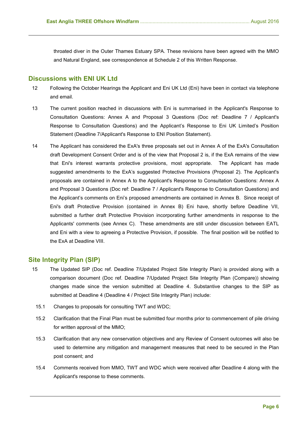throated diver in the Outer Thames Estuary SPA. These revisions have been agreed with the MMO and Natural England, see correspondence at Schedule 2 of this Written Response.

## <span id="page-5-0"></span>**Discussions with ENI UK Ltd**

- 12 Following the October Hearings the Applicant and Eni UK Ltd (Eni) have been in contact via telephone and email.
- 13 The current position reached in discussions with Eni is summarised in the Applicant's Response to Consultation Questions: Annex A and Proposal 3 Questions (Doc ref: Deadline 7 / Applicant's Response to Consultation Questions) and the Applicant's Response to Eni UK Limited's Position Statement (Deadline 7/Applicant's Response to ENI Position Statement).
- 14 The Applicant has considered the ExA's three proposals set out in Annex A of the ExA's Consultation draft Development Consent Order and is of the view that Proposal 2 is, if the ExA remains of the view that Eni's interest warrants protective provisions, most appropriate. The Applicant has made suggested amendments to the ExA's suggested Protective Provisions (Proposal 2). The Applicant's proposals are contained in Annex A to the Applicant's Response to Consultation Questions: Annex A and Proposal 3 Questions (Doc ref: Deadline 7 / Applicant's Response to Consultation Questions) and the Applicant's comments on Eni's proposed amendments are contained in Annex B.Since receipt of Eni's draft Protective Provision (contained in Annex B) Eni have, shortly before Deadline VII, submitted a further draft Protective Provision incorporating further amendments in response to the Applicants' comments (see Annex C). These amendments are still under discussion between EATL and Eni with a view to agreeing a Protective Provision, if possible. The final position will be notified to the ExA at Deadline VIII.

## <span id="page-5-1"></span>**Site Integrity Plan (SIP)**

- 15 The Updated SIP (Doc ref. Deadline 7/Updated Project Site Integrity Plan) is provided along with a comparison document (Doc ref. Deadline 7/Updated Project Site Integrity Plan (Compare)) showing changes made since the version submitted at Deadline 4. Substantive changes to the SIP as submitted at Deadline 4 (Deadline 4 / Project Site Integrity Plan) include:
	- 15.1 Changes to proposals for consulting TWT and WDC;
	- 15.2 Clarification that the Final Plan must be submitted four months prior to commencement of pile driving for written approval of the MMO;
	- 15.3 Clarification that any new conservation objectives and any Review of Consent outcomes will also be used to determine any mitigation and management measures that need to be secured in the Plan post consent; and
	- 15.4 Comments received from MMO, TWT and WDC which were received after Deadline 4 along with the Applicant's response to these comments.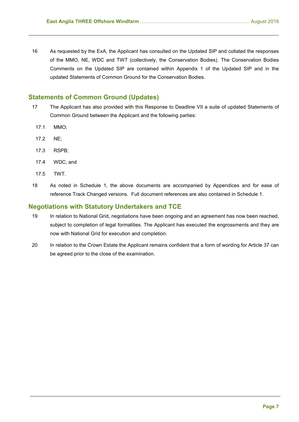16 As requested by the ExA, the Applicant has consulted on the Updated SIP and collated the responses of the MMO, NE, WDC and TWT (collectively, the Conservation Bodies). The Conservation Bodies Comments on the Updated SIP are contained within Appendix 1 of the Updated SIP and in the updated Statements of Common Ground for the Conservation Bodies.

## <span id="page-6-0"></span>**Statements of Common Ground (Updates)**

- 17 The Applicant has also provided with this Response to Deadline VII a suite of updated Statements of Common Ground between the Applicant and the following parties:
	- 17.1 MMO;
	- 17.2 NE;
	- 17.3 RSPB;
	- 17.4 WDC; and
	- 17.5 TWT.
- 18 As noted in Schedule 1, the above documents are accompanied by Appendices and for ease of reference Track Changed versions. Full document references are also contained in Schedule 1.

## <span id="page-6-1"></span>**Negotiations with Statutory Undertakers and TCE**

- 19 In relation to National Grid, negotiations have been ongoing and an agreement has now been reached, subject to completion of legal formalities. The Applicant has executed the engrossments and they are now with National Grid for execution and completion.
- 20 In relation to the Crown Estate the Applicant remains confident that a form of wording for Article 37 can be agreed prior to the close of the examination.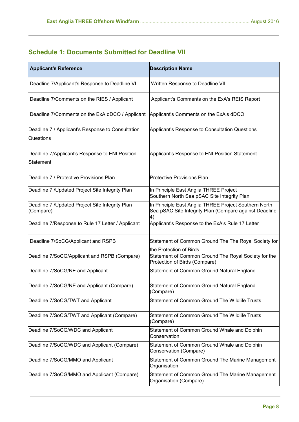## <span id="page-7-0"></span>**Schedule 1: Documents Submitted for Deadline VII**

| <b>Applicant's Reference</b>                                          | <b>Description Name</b>                                                                                               |
|-----------------------------------------------------------------------|-----------------------------------------------------------------------------------------------------------------------|
| Deadline 7/Applicant's Response to Deadline VII                       | Written Response to Deadline VII                                                                                      |
| Deadline 7/Comments on the RIES / Applicant                           | Applicant's Comments on the ExA's REIS Report                                                                         |
| Deadline 7/Comments on the ExA dDCO / Applicant                       | Applicant's Comments on the ExA's dDCO                                                                                |
| Deadline 7 / Applicant's Response to Consultation<br><b>Questions</b> | Applicant's Response to Consultation Questions                                                                        |
| Deadline 7/Applicant's Response to ENI Position<br>Statement          | Applicant's Response to ENI Position Statement                                                                        |
| Deadline 7 / Protective Provisions Plan                               | <b>Protective Provisions Plan</b>                                                                                     |
| Deadline 7 / Updated Project Site Integrity Plan                      | In Principle East Anglia THREE Project<br>Southern North Sea pSAC Site Integrity Plan                                 |
| Deadline 7 / Updated Project Site Integrity Plan<br>(Compare)         | In Principle East Anglia THREE Project Southern North<br>Sea pSAC Site Integrity Plan (Compare against Deadline<br>4) |
| Deadline 7/Response to Rule 17 Letter / Applicant                     | Applicant's Response to the ExA's Rule 17 Letter                                                                      |
| Deadline 7/SoCG/Applicant and RSPB                                    | Statement of Common Ground The The Royal Society for<br>the Protection of Birds                                       |
| Deadline 7/SoCG/Applicant and RSPB (Compare)                          | Statement of Common Ground The Royal Society for the<br>Protection of Birds (Compare)                                 |
| Deadline 7/SoCG/NE and Applicant                                      | Statement of Common Ground Natural England                                                                            |
| Deadline 7/SoCG/NE and Applicant (Compare)                            | Statement of Common Ground Natural England<br>(Compare)                                                               |
| Deadline 7/SoCG/TWT and Applicant                                     | Statement of Common Ground The Wildlife Trusts                                                                        |
| Deadline 7/SoCG/TWT and Applicant (Compare)                           | Statement of Common Ground The Wildlife Trusts<br>(Compare)                                                           |
| Deadline 7/SoCG/WDC and Applicant                                     | Statement of Common Ground Whale and Dolphin<br>Conservation                                                          |
| Deadline 7/SoCG/WDC and Applicant (Compare)                           | Statement of Common Ground Whale and Dolphin<br>Conservation (Compare)                                                |
| Deadline 7/SoCG/MMO and Applicant                                     | Statement of Common Ground The Marine Management<br>Organisation                                                      |
| Deadline 7/SoCG/MMO and Applicant (Compare)                           | Statement of Common Ground The Marine Management<br>Organisation (Compare)                                            |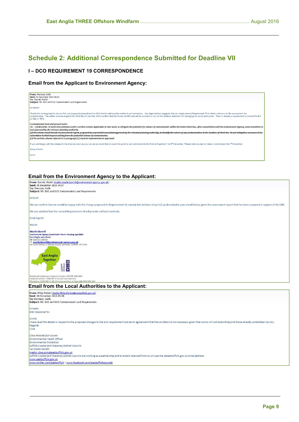## <span id="page-8-0"></span>**Schedule 2: Additional Correspondence Submitted for Deadline VII**

## **I – DCO REQUIREMENT 19 CORRESPONDENCE**

## **Email from the Applicant to Environment Agency:**

| From: Morrison, Keith<br>Sent: 02 December 2016 08:25<br>To: 'Barrell, Martin'<br>Subject: RE: EA3 and DCO Contaminated Land Requirements                                                                                                                                                                                                                                                                                                                                                                                                                                                                                                                                                                                            |
|--------------------------------------------------------------------------------------------------------------------------------------------------------------------------------------------------------------------------------------------------------------------------------------------------------------------------------------------------------------------------------------------------------------------------------------------------------------------------------------------------------------------------------------------------------------------------------------------------------------------------------------------------------------------------------------------------------------------------------------|
| HI Martin                                                                                                                                                                                                                                                                                                                                                                                                                                                                                                                                                                                                                                                                                                                            |
| Thanks for coming back to me on this, our proposed amendment to DCO text to address this matter is set out below. Our legal advisor suggests that we simply amend Requirement 19 to delete reference to the assessment for<br>contamination. The written scheme required for Work No.41 can then either confirm that the former landfill area will be avoided or set out the method statement for managing the excavated waste. There is already a requireme<br>on this in 19(1).                                                                                                                                                                                                                                                    |
| Contaminated land and ground water<br>19.-(1) Work No. 41 must not commence until a written scheme applicable to that work, to mitiqate the potential for release of contaminants within the Order limits has, after consultation with the Environment Agency, been<br>and approved by the relevant planning authority.<br>(2) The scheme must include an assessment report, prepared by a specialist consultant approved by the relevant planning authority, to identify the extent of any contamination at the location of Work No. 41 and mitigation m<br>undertaken to limit impacts arising from the potential release of contaminants.<br>(2) The written scheme referred to in paragraph (1) must be implemented as approved. |
| If you are happy with this please let me know as soon as you can as we would like to cover this point in our submission to the ExA at Deadline 7 on 8" December. Please note we plan to make or submission the 7" December.                                                                                                                                                                                                                                                                                                                                                                                                                                                                                                          |
| Many thanks                                                                                                                                                                                                                                                                                                                                                                                                                                                                                                                                                                                                                                                                                                                          |
| Keith                                                                                                                                                                                                                                                                                                                                                                                                                                                                                                                                                                                                                                                                                                                                |
|                                                                                                                                                                                                                                                                                                                                                                                                                                                                                                                                                                                                                                                                                                                                      |

### **Email from the Environment Agency to the Applicant:**

| From: Barrell, Martin [mailto:martin.barrell@environment-agency.gov.uk]<br>Sent: 05 December 2016 14:17<br>To: Morrison, Keith<br>Subject: RE: EA3 and DCO Contaminated Land Requirements                                                                                                                                                                                                                                                                                    |
|------------------------------------------------------------------------------------------------------------------------------------------------------------------------------------------------------------------------------------------------------------------------------------------------------------------------------------------------------------------------------------------------------------------------------------------------------------------------------|
| Hi Keith                                                                                                                                                                                                                                                                                                                                                                                                                                                                     |
| We can confirm that we would be happy with the change proposed to Requirement 19, namely the deletion of part (2) as described in your email below, given the assessment report that has been prepared in support of EA ONE.                                                                                                                                                                                                                                                 |
| We are satisfied that the revised Requirement 19 will provide sufficient controls.                                                                                                                                                                                                                                                                                                                                                                                           |
| Kind regards                                                                                                                                                                                                                                                                                                                                                                                                                                                                 |
| Martin                                                                                                                                                                                                                                                                                                                                                                                                                                                                       |
| <b>Martin Barrell</b><br><b>Environment Agency Sustainable Places Planning Specialist</b><br><b>East Anglia area (East)</b><br>营 020302 58450<br><sup>+</sup> martin.barrell@environment-agency.gov.uk<br>ES Iceni House, Cobham Road, Ipswich, Suffolk. IP3 9JD<br><b>East Anglia</b><br><b>Together</b><br>$\frac{1}{2}$<br><b>JSTOMER</b><br>RVICE<br>CELLENCE                                                                                                            |
| National Customer Contact Centre: 03708 506 506<br>Incident hotline: 0800 80 70 60 (24 hour service)<br>Floodline: 0345 988 11 88 (24 hour service) or type talk 0845 602 634                                                                                                                                                                                                                                                                                                |
| <b>Email from the Local Authorities to the Applicant:</b>                                                                                                                                                                                                                                                                                                                                                                                                                    |
| From: Philip Perkin [mailto: Philip. Perkin@eastsuffolk.gov.uk]<br>Sent: 08 December 2016 09:28<br>To: Morrison, Keith<br>Subject: RE: EA3 and DCO Contaminated Land Requirements                                                                                                                                                                                                                                                                                            |
| Hi Keith,<br>EHO response fyi:                                                                                                                                                                                                                                                                                                                                                                                                                                               |
| Hi Phil<br>I have read the details in respect to the proposed changes to the EA3 requirement and am in agreement that this condition is not necessary given that works will not extend beyond those already undertaken by EA1.<br>Regards<br>Clive                                                                                                                                                                                                                           |
| <b>Clive Pink MCIEH CEnvH</b><br>Environmental Health Officer<br><b>Environmental Protection</b><br>Suffolk Coastal and Waveney District Councils<br>Tel: 01394 444349<br>mailto: clive.pink@eastsuffolk.gov.uk<br>Suffolk Coastal and Waveney District Councils are working as a partnership and all emails received from us will use the @eastsuffolk.gov.uk email address<br>www.eastsuffolk.gov.uk<br>www.twitter.com/eastsuffolk   www.facebook.com/eastsuffolkcouncils |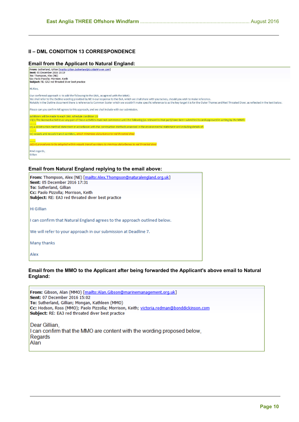## **II – DML CONDITION 13 CORRESPONDENCE**

#### **Email from the Applicant to Natural England:**

| From: Sutherland, Gillian [mailto: Gillian. Sutherland@ScottishPower.com]                                                                                                                                             |
|-----------------------------------------------------------------------------------------------------------------------------------------------------------------------------------------------------------------------|
| Sent: 05 December 2016 16:19<br>To: Thompson, Alex (NE)                                                                                                                                                               |
| Cc: Paolo Pizzolla; Morrison, Keith                                                                                                                                                                                   |
| Subject: RE: EA3 red throated diver best practice                                                                                                                                                                     |
| Hi Alex,                                                                                                                                                                                                              |
| Our confirmed approach is to add the following to the DML, as agreed with the MMO.                                                                                                                                    |
| We shall refer to the Outline wording provided by NE in our response to the ExA, which we shall share with yourselves, should you wish to make reference.                                                             |
| Notably in the Outline document there is reference to Common Scoter which we wouldn't make specific reference to as the key target it is for the Outer Thames and Red Throated Diver, as reflected in the text below. |
| Please can you confirm NE agrees to this approach, and we shall include with our submission.                                                                                                                          |
| Additions will be made to each DML schedule condition 13:                                                                                                                                                             |
| 13(1) The licensed activities or any part of those activities must not commence until the following (as relevant to that part) have been submitted to and approved in writing by the MMO-                             |
| (c) A construction method statement in accordance with the construction methods assessed in the environmental statement and including details of-                                                                     |
|                                                                                                                                                                                                                       |
| (v) vessels and vessels transit corridors, which minimises disturbance to red throated diver                                                                                                                          |
|                                                                                                                                                                                                                       |
| (d)(vi) procedures to be adopted within vessels transit corridors to minimise disturbance to red throated diver                                                                                                       |
| Kind regards,                                                                                                                                                                                                         |
| Gillian                                                                                                                                                                                                               |
|                                                                                                                                                                                                                       |
|                                                                                                                                                                                                                       |

#### **Email from Natural England replying to the email above:**

| <b>From:</b> Thompson, Alex (NE) [mailto:Alex.Thompson@naturalengland.org.uk]<br>Sent: 05 December 2016 17:31<br>To: Sutherland, Gillian<br>Cc: Paolo Pizzolla; Morrison, Keith<br>Subject: RE: EA3 red throated diver best practice |
|--------------------------------------------------------------------------------------------------------------------------------------------------------------------------------------------------------------------------------------|
| Hi Gillian                                                                                                                                                                                                                           |
| I can confirm that Natural England agrees to the approach outlined below.                                                                                                                                                            |
| We will refer to your approach in our submission at Deadline 7.                                                                                                                                                                      |
| Many thanks                                                                                                                                                                                                                          |
| Alex                                                                                                                                                                                                                                 |

## **Email from the MMO to the Applicant after being forwarded the Applicant's above email to Natural England:**

From: Gibson, Alan (MMO) [mailto:Alan.Gibson@marinemanagement.org.uk] Sent: 07 December 2016 15:02 To: Sutherland, Gillian; Mongan, Kathleen (MMO) Cc: Hodson, Ross (MMO); Paolo Pizzolla; Morrison, Keith; victoria.redman@bonddickinson.com Subject: RE: EA3 red throated diver best practice Dear Gillian, I can confirm that the MMO are content with the wording proposed below, Regards Alan